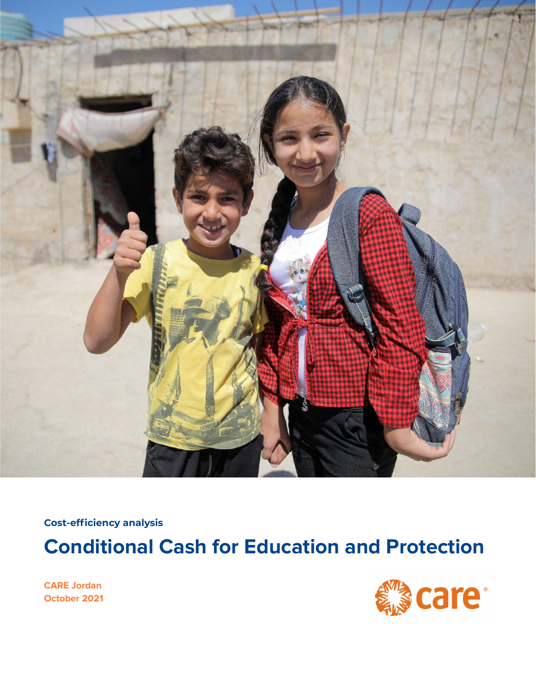

**Cost-efficiency analysis**

**Conditional Cash for Education and Protection**

**CARE Jordan October 2021**

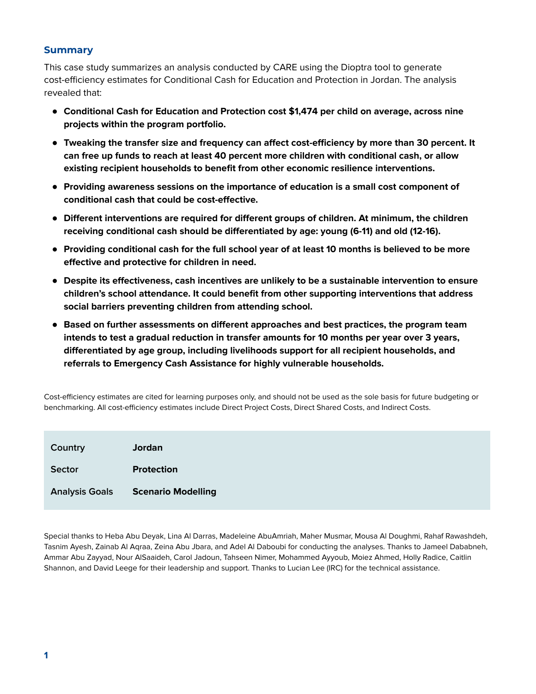# **Summary**

This case study summarizes an analysis conducted by CARE using the Dioptra tool to generate cost-efficiency estimates for Conditional Cash for Education and Protection in Jordan. The analysis revealed that:

- **● Conditional Cash for Education and Protection cost \$1,474 per child on average, across nine projects within the program portfolio.**
- **● Tweaking the transfer size and frequency can affect cost-efficiency by more than 30 percent. It can free up funds to reach at least 40 percent more children with conditional cash, or allow existing recipient households to benefit from other economic resilience interventions.**
- **● Providing awareness sessions on the importance of education is a small cost component of conditional cash that could be cost-effective.**
- **● Different interventions are required for different groups of children. At minimum, the children receiving conditional cash should be differentiated by age: young (6-11) and old (12-16).**
- Providing conditional cash for the full school year of at least 10 months is believed to be more **effective and protective for children in need.**
- **● Despite its effectiveness, cash incentives are unlikely to be a sustainable intervention to ensure children's school attendance. It could benefit from other supporting interventions that address social barriers preventing children from attending school.**
- **● Based on further assessments on different approaches and best practices, the program team intends to test a gradual reduction in transfer amounts for 10 months per year over 3 years, differentiated by age group, including livelihoods support for all recipient households, and referrals to Emergency Cash Assistance for highly vulnerable households.**

Cost-efficiency estimates are cited for learning purposes only, and should not be used as the sole basis for future budgeting or benchmarking. All cost-efficiency estimates include Direct Project Costs, Direct Shared Costs, and Indirect Costs.

| Country               | Jordan                    |
|-----------------------|---------------------------|
| Sector                | Protection                |
| <b>Analysis Goals</b> | <b>Scenario Modelling</b> |

Special thanks to Heba Abu Deyak, Lina Al Darras, Madeleine AbuAmriah, Maher Musmar, Mousa Al Doughmi, Rahaf Rawashdeh, Tasnim Ayesh, Zainab Al Aqraa, Zeina Abu Jbara, and Adel Al Daboubi for conducting the analyses. Thanks to Jameel Dababneh, Ammar Abu Zayyad, Nour AlSaaideh, Carol Jadoun, Tahseen Nimer, Mohammed Ayyoub, Moiez Ahmed, Holly Radice, Caitlin Shannon, and David Leege for their leadership and support. Thanks to Lucian Lee (IRC) for the technical assistance.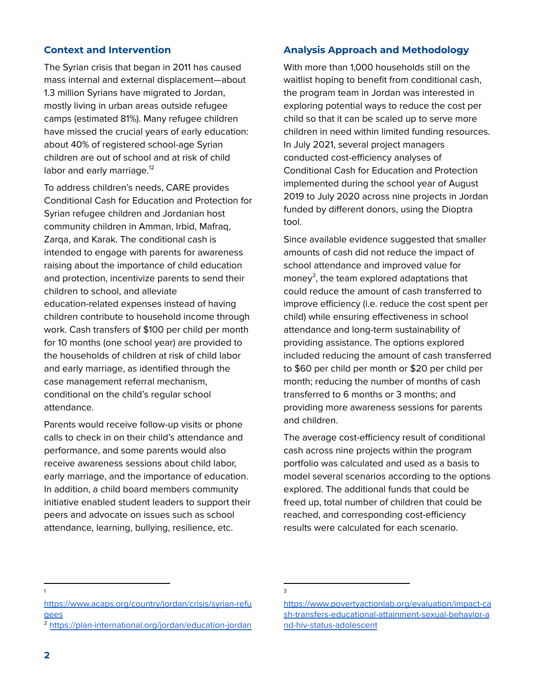### **Context and Intervention**

The Syrian crisis that began in 2011 has caused mass internal and external displacement—about 1.3 million Syrians have migrated to Jordan, mostly living in urban areas outside refugee camps (estimated 81%). Many refugee children have missed the crucial years of early education: about 40% of registered school-age Syrian children are out of school and at risk of child labor and early marriage.<sup>12</sup>

To address children's needs, CARE provides Conditional Cash for Education and Protection for Syrian refugee children and Jordanian host community children in Amman, Irbid, Mafraq, Zarqa, and Karak. The conditional cash is intended to engage with parents for awareness raising about the importance of child education and protection, incentivize parents to send their children to school, and alleviate education-related expenses instead of having children contribute to household income through work. Cash transfers of \$100 per child per month for 10 months (one school year) are provided to the households of children at risk of child labor and early marriage, as identified through the case management referral mechanism, conditional on the child's regular school attendance.

Parents would receive follow-up visits or phone calls to check in on their child's attendance and performance, and some parents would also receive awareness sessions about child labor, early marriage, and the importance of education. In addition, a child board members community initiative enabled student leaders to support their peers and advocate on issues such as school attendance, learning, bullying, resilience, etc.

### **Analysis Approach and Methodology**

With more than 1,000 households still on the waitlist hoping to benefit from conditional cash, the program team in Jordan was interested in exploring potential ways to reduce the cost per child so that it can be scaled up to serve more children in need within limited funding resources. In July 2021, several project managers conducted cost-efficiency analyses of Conditional Cash for Education and Protection implemented during the school year of August 2019 to July 2020 across nine projects in Jordan funded by different donors, using the Dioptra tool.

Since available evidence suggested that smaller amounts of cash did not reduce the impact of school attendance and improved value for money 3 , the team explored adaptations that could reduce the amount of cash transferred to improve efficiency (i.e. reduce the cost spent per child) while ensuring effectiveness in school attendance and long-term sustainability of providing assistance. The options explored included reducing the amount of cash transferred to \$60 per child per month or \$20 per child per month; reducing the number of months of cash transferred to 6 months or 3 months; and providing more awareness sessions for parents and children.

The average cost-efficiency result of conditional cash across nine projects within the program portfolio was calculated and used as a basis to model several scenarios according to the options explored. The additional funds that could be freed up, total number of children that could be reached, and corresponding cost-efficiency results were calculated for each scenario.

1

3

[https://www.acaps.org/country/jordan/crisis/syrian-refu](https://www.acaps.org/country/jordan/crisis/syrian-refugees) [gees](https://www.acaps.org/country/jordan/crisis/syrian-refugees)

<sup>2</sup> <https://plan-international.org/jordan/education-jordan>

[https://www.povertyactionlab.org/evaluation/impact-ca](https://www.povertyactionlab.org/evaluation/impact-cash-transfers-educational-attainment-sexual-behavior-and-hiv-status-adolescent) [sh-transfers-educational-attainment-sexual-behavior-a](https://www.povertyactionlab.org/evaluation/impact-cash-transfers-educational-attainment-sexual-behavior-and-hiv-status-adolescent) [nd-hiv-status-adolescent](https://www.povertyactionlab.org/evaluation/impact-cash-transfers-educational-attainment-sexual-behavior-and-hiv-status-adolescent)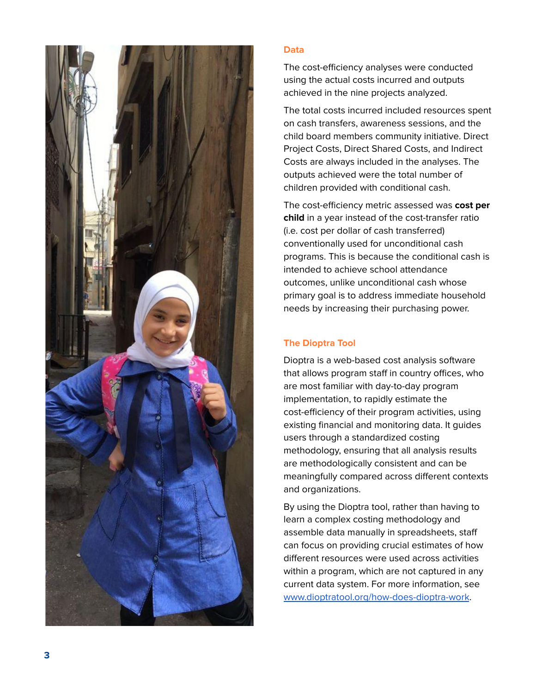

#### Data

The cost-efficiency analyses were conducted using the actual costs incurred and outputs achieved in the nine projects analyzed.

The total costs incurred included resources spent on cash transfers, awareness sessions, and the child board members community initiative. Direct Project Costs, Direct Shared Costs, and Indirect Costs are always included in the analyses. The outputs achieved were the total number of children provided with conditional cash.

The cost-efficiency metric assessed was cost per child in a year instead of the cost-transfer ratio (i.e. cost per dollar of cash transferred) conventionally used for unconditional cash programs. This is because the conditional cash is intended to achieve school attendance outcomes, unlike unconditional cash whose primary goal is to address immediate household needs by increasing their purchasing power.

#### **The Dioptra Tool**

Dioptra is a web-based cost analysis software that allows program staff in country offices, who are most familiar with day-to-day program implementation, to rapidly estimate the cost-efficiency of their program activities, using existing financial and monitoring data. It guides users through a standardized costing methodology, ensuring that all analysis results are methodologically consistent and can be meaningfully compared across different contexts and organizations.

By using the Dioptra tool, rather than having to learn a complex costing methodology and assemble data manually in spreadsheets, staff can focus on providing crucial estimates of how different resources were used across activities within a program, which are not captured in any current data system. For more information, see [www.dioptratool.org/how-does-dioptra-work](http://www.dioptratool.org/how-does-dioptra-work).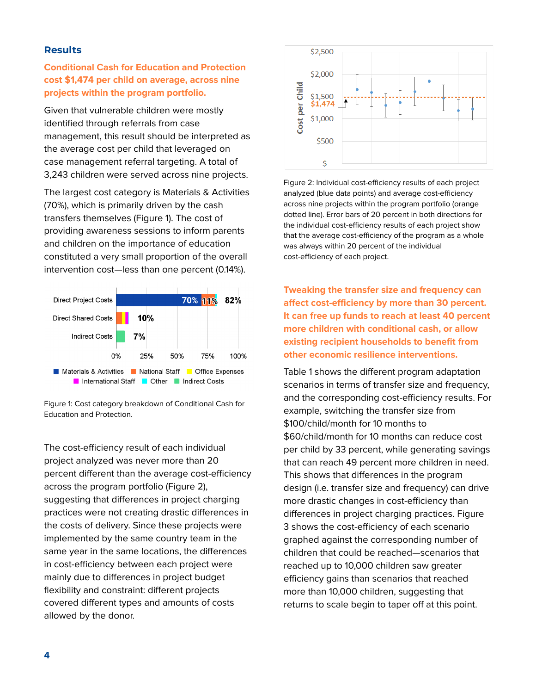#### **Results**

# **Conditional Cash for Education and Protection cost \$1,474 per child on average, across nine projects within the program portfolio.**

Given that vulnerable children were mostly identified through referrals from case management, this result should be interpreted as the average cost per child that leveraged on case management referral targeting. A total of 3,243 children were served across nine projects.

The largest cost category is Materials & Activities (70%), which is primarily driven by the cash transfers themselves (Figure 1). The cost of providing awareness sessions to inform parents and children on the importance of education constituted a very small proportion of the overall intervention cost—less than one percent (0.14%).



Figure 1: Cost category breakdown of Conditional Cash for Education and Protection.

The cost-efficiency result of each individual project analyzed was never more than 20 percent different than the average cost-efficiency across the program portfolio (Figure 2), suggesting that differences in project charging practices were not creating drastic differences in the costs of delivery. Since these projects were implemented by the same country team in the same year in the same locations, the differences in cost-efficiency between each project were mainly due to differences in project budget flexibility and constraint: different projects covered different types and amounts of costs allowed by the donor.



Figure 2: Individual cost-efficiency results of each project analyzed (blue data points) and average cost-efficiency across nine projects within the program portfolio (orange dotted line). Error bars of 20 percent in both directions for the individual cost-efficiency results of each project show that the average cost-efficiency of the program as a whole was always within 20 percent of the individual cost-efficiency of each project.

**Tweaking the transfer size and frequency can affect cost-efficiency by more than 30 percent. It can free up funds to reach at least 40 percent more children with conditional cash, or allow existing recipient households to benefit from other economic resilience interventions.**

Table 1 shows the different program adaptation scenarios in terms of transfer size and frequency, and the corresponding cost-efficiency results. For example, switching the transfer size from \$100/child/month for 10 months to \$60/child/month for 10 months can reduce cost per child by 33 percent, while generating savings that can reach 49 percent more children in need. This shows that differences in the program design (i.e. transfer size and frequency) can drive more drastic changes in cost-efficiency than differences in project charging practices. Figure 3 shows the cost-efficiency of each scenario graphed against the corresponding number of children that could be reached—scenarios that reached up to 10,000 children saw greater efficiency gains than scenarios that reached more than 10,000 children, suggesting that returns to scale begin to taper off at this point.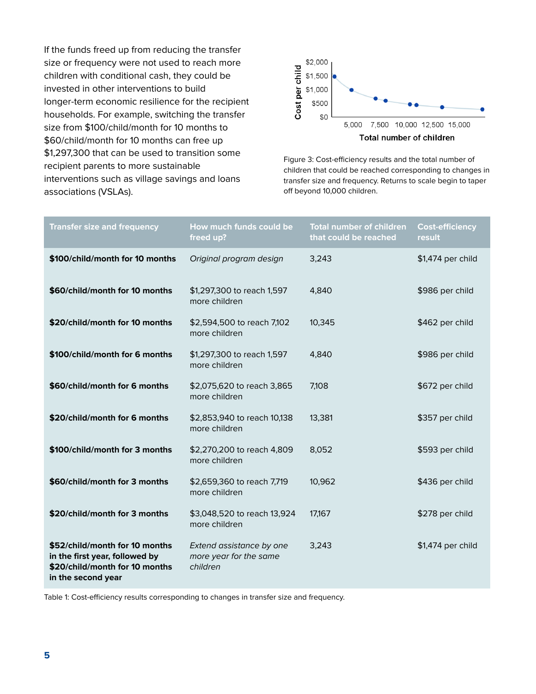If the funds freed up from reducing the transfer size or frequency were not used to reach more children with conditional cash, they could be invested in other interventions to build longer-term economic resilience for the recipient households. For example, switching the transfer size from \$100/child/month for 10 months to \$60/child/month for 10 months can free up \$1,297,300 that can be used to transition some recipient parents to more sustainable interventions such as village savings and loans associations (VSLAs).



Figure 3: Cost-efficiency results and the total number of children that could be reached corresponding to changes in transfer size and frequency. Returns to scale begin to taper off beyond 10,000 children.

| <b>Transfer size and frequency</b>                                                                                       | How much funds could be<br>freed up?                           | <b>Total number of children</b><br>that could be reached | <b>Cost-efficiency</b><br>result |
|--------------------------------------------------------------------------------------------------------------------------|----------------------------------------------------------------|----------------------------------------------------------|----------------------------------|
| \$100/child/month for 10 months                                                                                          | Original program design                                        | 3,243                                                    | \$1,474 per child                |
| \$60/child/month for 10 months                                                                                           | \$1,297,300 to reach 1,597<br>more children                    | 4,840                                                    | \$986 per child                  |
| \$20/child/month for 10 months                                                                                           | \$2,594,500 to reach 7,102<br>more children                    | 10,345                                                   | \$462 per child                  |
| \$100/child/month for 6 months                                                                                           | \$1,297,300 to reach 1,597<br>more children                    | 4,840                                                    | \$986 per child                  |
| \$60/child/month for 6 months                                                                                            | \$2,075,620 to reach 3,865<br>more children                    | 7,108                                                    | \$672 per child                  |
| \$20/child/month for 6 months                                                                                            | \$2,853,940 to reach 10,138<br>more children                   | 13,381                                                   | \$357 per child                  |
| \$100/child/month for 3 months                                                                                           | \$2,270,200 to reach 4,809<br>more children                    | 8,052                                                    | \$593 per child                  |
| \$60/child/month for 3 months                                                                                            | \$2,659,360 to reach 7,719<br>more children                    | 10,962                                                   | \$436 per child                  |
| \$20/child/month for 3 months                                                                                            | \$3,048,520 to reach 13,924<br>more children                   | 17,167                                                   | \$278 per child                  |
| \$52/child/month for 10 months<br>in the first year, followed by<br>\$20/child/month for 10 months<br>in the second year | Extend assistance by one<br>more year for the same<br>children | 3,243                                                    | \$1,474 per child                |

Table 1: Cost-efficiency results corresponding to changes in transfer size and frequency.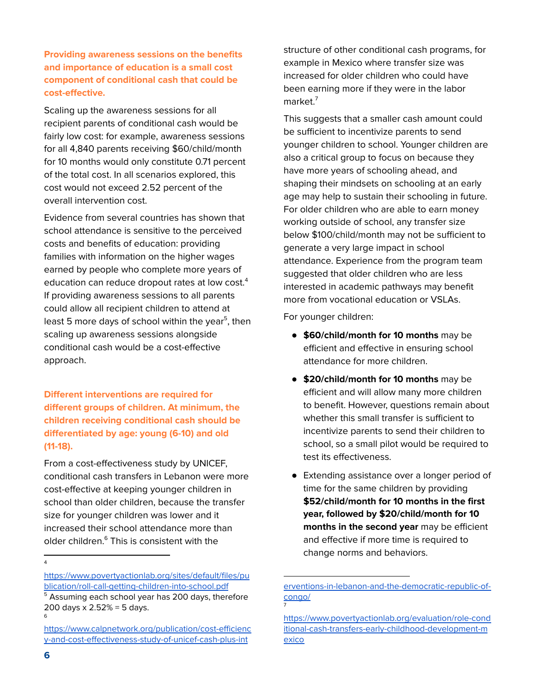**Providing awareness sessions on the benefits and importance of education is a small cost component of conditional cash that could be cost-effective.**

Scaling up the awareness sessions for all recipient parents of conditional cash would be fairly low cost: for example, awareness sessions for all 4,840 parents receiving \$60/child/month for 10 months would only constitute 0.71 percent of the total cost. In all scenarios explored, this cost would not exceed 2.52 percent of the overall intervention cost.

Evidence from several countries has shown that school attendance is sensitive to the perceived costs and benefits of education: providing families with information on the higher wages earned by people who complete more years of education can reduce dropout rates at low cost. 4 If providing awareness sessions to all parents could allow all recipient children to attend at least 5 more days of school within the year<sup>5</sup>, then scaling up awareness sessions alongside conditional cash would be a cost-effective approach.

**Different interventions are required for different groups of children. At minimum, the children receiving conditional cash should be differentiated by age: young (6-10) and old (11-18).**

From a cost-effectiveness study by UNICEF, conditional cash transfers in Lebanon were more cost-effective at keeping younger children in school than older children, because the transfer size for younger children was lower and it increased their school attendance more than older children. <sup>6</sup> This is consistent with the

structure of other conditional cash programs, for example in Mexico where transfer size was increased for older children who could have been earning more if they were in the labor market. 7

This suggests that a smaller cash amount could be sufficient to incentivize parents to send younger children to school. Younger children are also a critical group to focus on because they have more years of schooling ahead, and shaping their mindsets on schooling at an early age may help to sustain their schooling in future. For older children who are able to earn money working outside of school, any transfer size below \$100/child/month may not be sufficient to generate a very large impact in school attendance. Experience from the program team suggested that older children who are less interested in academic pathways may benefit more from vocational education or VSLAs.

For younger children:

- **\$60/child/month for 10 months** may be efficient and effective in ensuring school attendance for more children.
- **\$20/child/month for 10 months** may be efficient and will allow many more children to benefit. However, questions remain about whether this small transfer is sufficient to incentivize parents to send their children to school, so a small pilot would be required to test its effectiveness.
- Extending assistance over a longer period of time for the same children by providing **\$52/child/month for 10 months in the first year, followed by \$20/child/month for 10 months in the second year** may be efficient and effective if more time is required to change norms and behaviors.

<sup>4</sup>

[https://www.povertyactionlab.org/sites/default/files/pu](https://www.povertyactionlab.org/sites/default/files/publication/roll-call-getting-children-into-school.pdf) [blication/roll-call-getting-children-into-school.pdf](https://www.povertyactionlab.org/sites/default/files/publication/roll-call-getting-children-into-school.pdf)

<sup>6</sup> <sup>5</sup> Assuming each school year has 200 days, therefore 200 days x 2.52% = 5 days.

[https://www.calpnetwork.org/publication/cost-efficienc](https://www.calpnetwork.org/publication/cost-efficiency-and-cost-effectiveness-study-of-unicef-cash-plus-interventions-in-lebanon-and-the-democratic-republic-of-congo/) [y-and-cost-effectiveness-study-of-unicef-cash-plus-int](https://www.calpnetwork.org/publication/cost-efficiency-and-cost-effectiveness-study-of-unicef-cash-plus-interventions-in-lebanon-and-the-democratic-republic-of-congo/)

<sup>7</sup> [erventions-in-lebanon-and-the-democratic-republic-of](https://www.calpnetwork.org/publication/cost-efficiency-and-cost-effectiveness-study-of-unicef-cash-plus-interventions-in-lebanon-and-the-democratic-republic-of-congo/)[congo/](https://www.calpnetwork.org/publication/cost-efficiency-and-cost-effectiveness-study-of-unicef-cash-plus-interventions-in-lebanon-and-the-democratic-republic-of-congo/)

[https://www.povertyactionlab.org/evaluation/role-cond](https://www.povertyactionlab.org/evaluation/role-conditional-cash-transfers-early-childhood-development-mexico) [itional-cash-transfers-early-childhood-development-m](https://www.povertyactionlab.org/evaluation/role-conditional-cash-transfers-early-childhood-development-mexico) [exico](https://www.povertyactionlab.org/evaluation/role-conditional-cash-transfers-early-childhood-development-mexico)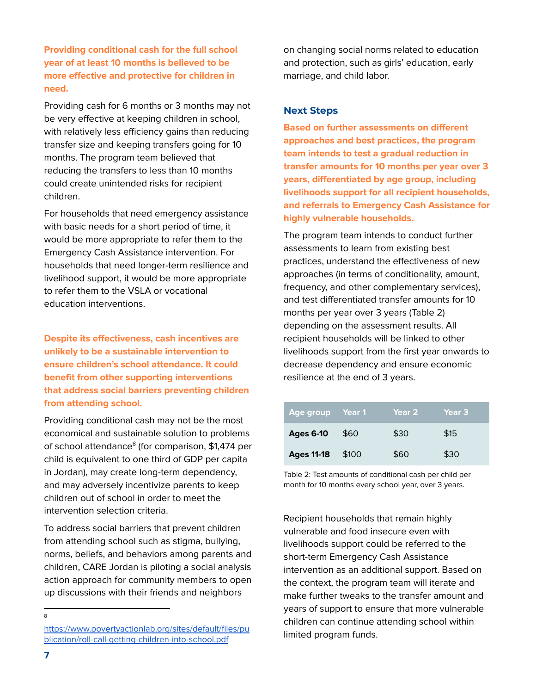**Providing conditional cash for the full school year of at least 10 months is believed to be more effective and protective for children in need.**

Providing cash for 6 months or 3 months may not be very effective at keeping children in school, with relatively less efficiency gains than reducing transfer size and keeping transfers going for 10 months. The program team believed that reducing the transfers to less than 10 months could create unintended risks for recipient children.

For households that need emergency assistance with basic needs for a short period of time, it would be more appropriate to refer them to the Emergency Cash Assistance intervention. For households that need longer-term resilience and livelihood support, it would be more appropriate to refer them to the VSLA or vocational education interventions.

**Despite its effectiveness, cash incentives are unlikely to be a sustainable intervention to ensure children's school attendance. It could benefit from other supporting interventions that address social barriers preventing children from attending school.**

Providing conditional cash may not be the most economical and sustainable solution to problems of school attendance<sup>8</sup> (for comparison, \$1,474 per child is equivalent to one third of GDP per capita in Jordan), may create long-term dependency, and may adversely incentivize parents to keep children out of school in order to meet the intervention selection criteria.

To address social barriers that prevent children from attending school such as stigma, bullying, norms, beliefs, and behaviors among parents and children, CARE Jordan is piloting a social analysis action approach for community members to open up discussions with their friends and neighbors

 $\Omega$ 

on changing social norms related to education and protection, such as girls' education, early marriage, and child labor.

### **Next Steps**

**Based on further assessments on different approaches and best practices, the program team intends to test a gradual reduction in transfer amounts for 10 months per year over 3 years, differentiated by age group, including livelihoods support for all recipient households, and referrals to Emergency Cash Assistance for highly vulnerable households.**

The program team intends to conduct further assessments to learn from existing best practices, understand the effectiveness of new approaches (in terms of conditionality, amount, frequency, and other complementary services), and test differentiated transfer amounts for 10 months per year over 3 years (Table 2) depending on the assessment results. All recipient households will be linked to other livelihoods support from the first year onwards to decrease dependency and ensure economic resilience at the end of 3 years.

| Age group         | <b>Prear 1</b> | 'Year 2 . | Year <sub>3</sub> |
|-------------------|----------------|-----------|-------------------|
| <b>Ages 6-10</b>  | \$60           | \$30      | \$15              |
| <b>Ages 11-18</b> | \$100          | \$60      | \$30              |

Table 2: Test amounts of conditional cash per child per month for 10 months every school year, over 3 years.

Recipient households that remain highly vulnerable and food insecure even with livelihoods support could be referred to the short-term Emergency Cash Assistance intervention as an additional support. Based on the context, the program team will iterate and make further tweaks to the transfer amount and years of support to ensure that more vulnerable children can continue attending school within limited program funds.

[https://www.povertyactionlab.org/sites/default/files/pu](https://www.povertyactionlab.org/sites/default/files/publication/roll-call-getting-children-into-school.pdf) [blication/roll-call-getting-children-into-school.pdf](https://www.povertyactionlab.org/sites/default/files/publication/roll-call-getting-children-into-school.pdf)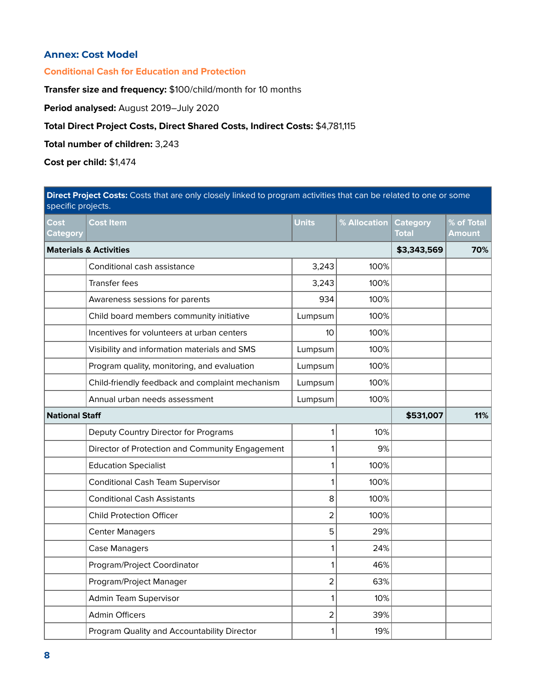# **Annex: Cost Model**

### **Conditional Cash for Education and Protection**

**Transfer size and frequency:** \$100/child/month for 10 months

**Period analysed:** August 2019–July 2020

# **Total Direct Project Costs, Direct Shared Costs, Indirect Costs:** \$4,781,115

**Total number of children:** 3,243

**Cost per child:** \$1,474

| specific projects.                | <b>Direct Project Costs:</b> Costs that are only closely linked to program activities that can be related to one or some |                |              |                                 |                             |
|-----------------------------------|--------------------------------------------------------------------------------------------------------------------------|----------------|--------------|---------------------------------|-----------------------------|
| Cost<br>Category                  | <b>Cost Item</b>                                                                                                         | <b>Units</b>   | % Allocation | <b>Category</b><br><b>Total</b> | % of Total<br><b>Amount</b> |
| <b>Materials &amp; Activities</b> |                                                                                                                          |                |              | \$3,343,569                     | 70%                         |
|                                   | Conditional cash assistance                                                                                              | 3,243          | 100%         |                                 |                             |
|                                   | <b>Transfer fees</b>                                                                                                     | 3,243          | 100%         |                                 |                             |
|                                   | Awareness sessions for parents                                                                                           | 934            | 100%         |                                 |                             |
|                                   | Child board members community initiative                                                                                 | Lumpsum        | 100%         |                                 |                             |
|                                   | Incentives for volunteers at urban centers                                                                               | 10             | 100%         |                                 |                             |
|                                   | Visibility and information materials and SMS                                                                             | Lumpsum        | 100%         |                                 |                             |
|                                   | Program quality, monitoring, and evaluation                                                                              | Lumpsum        | 100%         |                                 |                             |
|                                   | Child-friendly feedback and complaint mechanism                                                                          | Lumpsum        | 100%         |                                 |                             |
|                                   | Annual urban needs assessment                                                                                            | Lumpsum        | 100%         |                                 |                             |
| <b>National Staff</b>             |                                                                                                                          |                |              | \$531,007                       | 11%                         |
|                                   | Deputy Country Director for Programs                                                                                     | 1              | 10%          |                                 |                             |
|                                   | Director of Protection and Community Engagement                                                                          | 1              | 9%           |                                 |                             |
|                                   | <b>Education Specialist</b>                                                                                              | 1              | 100%         |                                 |                             |
|                                   | Conditional Cash Team Supervisor                                                                                         | $\mathbf{1}$   | 100%         |                                 |                             |
|                                   | <b>Conditional Cash Assistants</b>                                                                                       | 8              | 100%         |                                 |                             |
|                                   | <b>Child Protection Officer</b>                                                                                          | $\overline{2}$ | 100%         |                                 |                             |
|                                   | <b>Center Managers</b>                                                                                                   | 5              | 29%          |                                 |                             |
|                                   | Case Managers                                                                                                            | $\mathbf{1}$   | 24%          |                                 |                             |
|                                   | Program/Project Coordinator                                                                                              | $\mathbf{1}$   | 46%          |                                 |                             |
|                                   | Program/Project Manager                                                                                                  | $\overline{2}$ | 63%          |                                 |                             |
|                                   | Admin Team Supervisor                                                                                                    | 1              | 10%          |                                 |                             |
|                                   | <b>Admin Officers</b>                                                                                                    | $\overline{a}$ | 39%          |                                 |                             |
|                                   | Program Quality and Accountability Director                                                                              | 1              | 19%          |                                 |                             |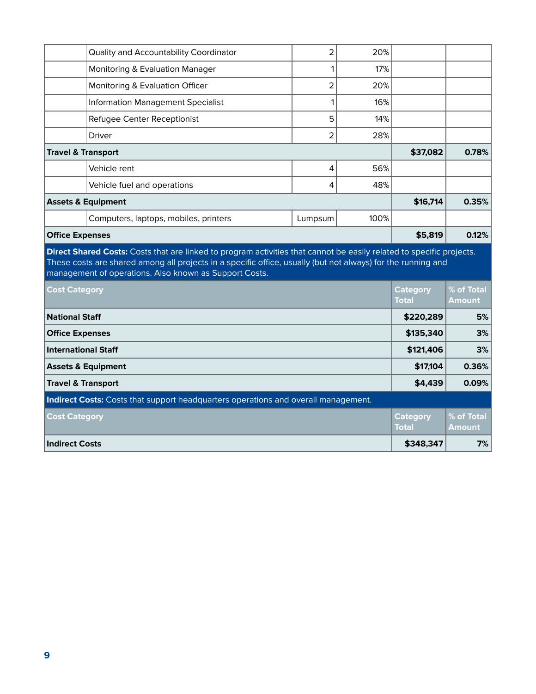| Quality and Accountability Coordinator                                                                                                                                                                                                                                                         |  | 2              | 20%  |                                 |                             |
|------------------------------------------------------------------------------------------------------------------------------------------------------------------------------------------------------------------------------------------------------------------------------------------------|--|----------------|------|---------------------------------|-----------------------------|
| Monitoring & Evaluation Manager                                                                                                                                                                                                                                                                |  | 1              | 17%  |                                 |                             |
| Monitoring & Evaluation Officer                                                                                                                                                                                                                                                                |  | $\overline{2}$ | 20%  |                                 |                             |
| <b>Information Management Specialist</b>                                                                                                                                                                                                                                                       |  | 1              | 16%  |                                 |                             |
| Refugee Center Receptionist                                                                                                                                                                                                                                                                    |  | 5              | 14%  |                                 |                             |
| <b>Driver</b>                                                                                                                                                                                                                                                                                  |  | 2              | 28%  |                                 |                             |
| <b>Travel &amp; Transport</b>                                                                                                                                                                                                                                                                  |  |                |      | \$37,082                        | 0.78%                       |
| Vehicle rent                                                                                                                                                                                                                                                                                   |  | 4              | 56%  |                                 |                             |
| Vehicle fuel and operations                                                                                                                                                                                                                                                                    |  | 4              | 48%  |                                 |                             |
| <b>Assets &amp; Equipment</b>                                                                                                                                                                                                                                                                  |  |                |      | \$16,714                        | 0.35%                       |
| Computers, laptops, mobiles, printers                                                                                                                                                                                                                                                          |  | Lumpsum        | 100% |                                 |                             |
| <b>Office Expenses</b>                                                                                                                                                                                                                                                                         |  |                |      |                                 |                             |
|                                                                                                                                                                                                                                                                                                |  |                |      | \$5,819                         | 0.12%                       |
| Direct Shared Costs: Costs that are linked to program activities that cannot be easily related to specific projects.<br>These costs are shared among all projects in a specific office, usually (but not always) for the running and<br>management of operations. Also known as Support Costs. |  |                |      |                                 |                             |
| <b>Cost Category</b>                                                                                                                                                                                                                                                                           |  |                |      | <b>Category</b><br><b>Total</b> | % of Total<br><b>Amount</b> |
| <b>National Staff</b>                                                                                                                                                                                                                                                                          |  |                |      | \$220,289                       | 5%                          |
| <b>Office Expenses</b>                                                                                                                                                                                                                                                                         |  |                |      | \$135,340                       | 3%                          |
| <b>International Staff</b>                                                                                                                                                                                                                                                                     |  |                |      | \$121,406                       | 3%                          |
| <b>Assets &amp; Equipment</b>                                                                                                                                                                                                                                                                  |  |                |      | \$17,104                        | 0.36%                       |
| <b>Travel &amp; Transport</b>                                                                                                                                                                                                                                                                  |  |                |      | \$4,439                         | 0.09%                       |
| Indirect Costs: Costs that support headquarters operations and overall management.                                                                                                                                                                                                             |  |                |      |                                 |                             |
| <b>Cost Category</b>                                                                                                                                                                                                                                                                           |  |                |      | <b>Category</b><br><b>Total</b> | % of Total<br><b>Amount</b> |